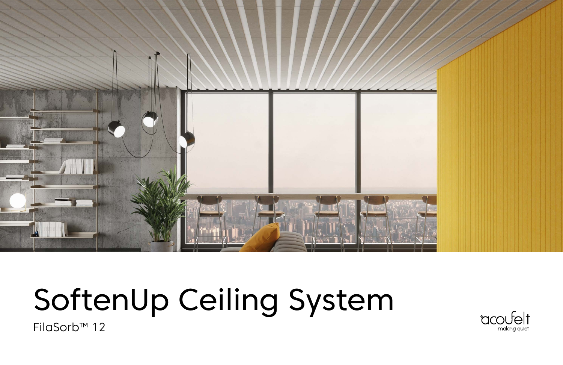

# SoftenUp Ceiling System

FilaSorb™ 12

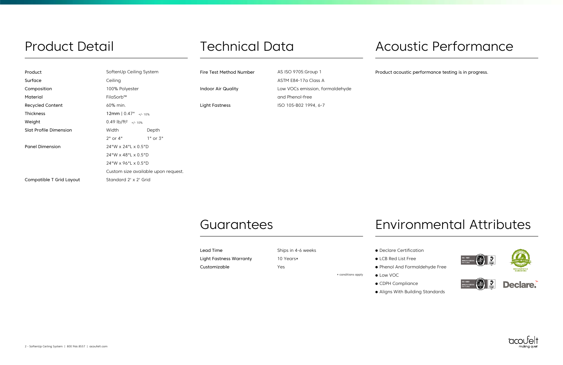erformance testing is in progress.

# Technical Data

| Product                       | SoftenUp Ceiling System                   |              | Fire Test Method Number   | AS ISO 9705: Group 1                               | Product acoustic pe |
|-------------------------------|-------------------------------------------|--------------|---------------------------|----------------------------------------------------|---------------------|
| Surface                       | Ceiling                                   |              |                           | ASTM E84-17a Class A                               |                     |
| Composition                   | 100% Polyester                            |              | <b>Indoor Air Quality</b> | Low VOCs emission, formaldehyde<br>and Phenol-free |                     |
| Material                      | FilaSorb™                                 |              |                           |                                                    |                     |
| Recycled Content              | 60% min.                                  |              | <b>Light Fastness</b>     | ISO 105-B02 1994, 6-7                              |                     |
| Thickness                     | 12mm $\vert 0.47^{\circ} \vert_{+/-10\%}$ |              |                           |                                                    |                     |
| Weight                        | $0.49$ lb/ft <sup>2</sup> +/-10%          |              |                           |                                                    |                     |
| <b>Slat Profile Dimension</b> | Width                                     | Depth        |                           |                                                    |                     |
|                               | $2"$ or $4"$                              | $1"$ or $3"$ |                           |                                                    |                     |
| <b>Panel Dimension</b>        | 24"W x 24"L x 0.5"D                       |              |                           |                                                    |                     |
|                               | 24"W x 48"L x 0.5"D                       |              |                           |                                                    |                     |
|                               | 24"W x 96"L x 0.5"D                       |              |                           |                                                    |                     |
|                               | Custom size available upon request.       |              |                           |                                                    |                     |
| Compatible T Grid Layout      | Standard 2' x 2' Grid                     |              |                           |                                                    |                     |

### **Guarantees**

### Product Detail

| Lead Time                      | Ships in 4-6 weeks |
|--------------------------------|--------------------|
| <b>Light Fastness Warranty</b> | 10 Years*          |
| Customizable                   | Yes                |

- Declare Certification
- LCB Red List Free
- Phenol And Formaldehyde Free
- \* conditions apply Low VOC
	- CDPH Compliance
		- Aligns With Building Standards

### Acoustic Performance

### Environmental Attributes







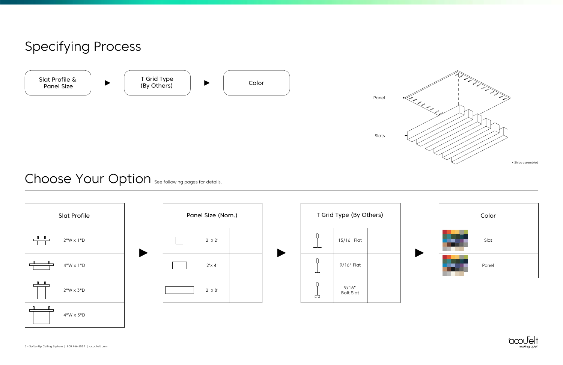

| Color |  |
|-------|--|
| Slat  |  |
| Panel |  |





| T Grid Type (By Others) |                           |  |  |  |
|-------------------------|---------------------------|--|--|--|
|                         | 15/16" Flat               |  |  |  |
|                         | 9/16" Flat                |  |  |  |
|                         | 9/16"<br><b>Bolt Slot</b> |  |  |  |



### Choose Your Option See following pages for details.

### Specifying Process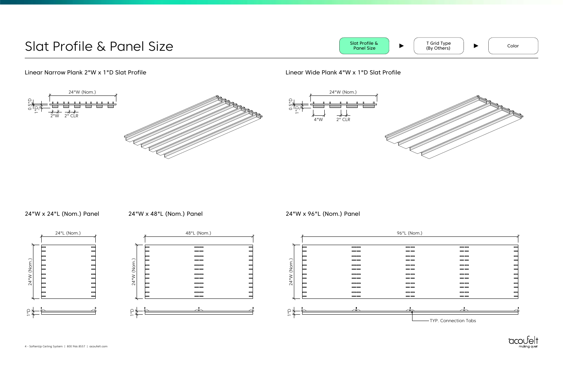| л н. J |                               |                |
|--------|-------------------------------|----------------|
|        |                               |                |
|        |                               |                |
|        | $\qquad \qquad \qquad$        |                |
|        | $\qquad \qquad \qquad \qquad$ |                |
|        | $\qquad \qquad \qquad$        |                |
|        | $\qquad \qquad \qquad$        |                |
|        | $=$                           |                |
|        | $- -$                         | e de la propie |
|        | $\qquad \qquad \qquad$        |                |
|        | $\qquad \qquad \qquad$        |                |
|        | $- -$                         |                |
|        | $=$                           |                |
|        | $=$                           |                |
|        | $\qquad \qquad \qquad$        |                |
|        |                               |                |
|        |                               |                |
|        |                               |                |
|        |                               |                |
|        |                               |                |







TYP. Connection Tabs



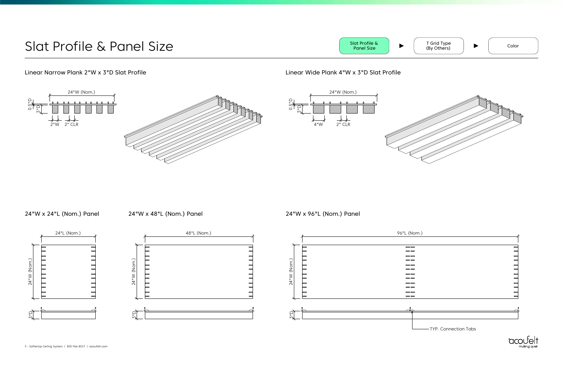











TYP. Connection Tabs



2"W 2" CLR

 $\Omega$ 

4"W

ם<br>מ

 $\overline{2}$ " CLR

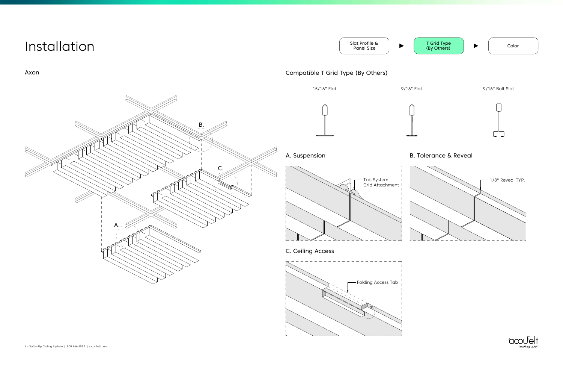

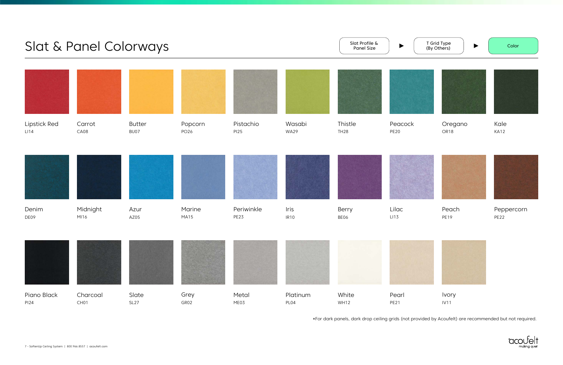Color



Peppercorn PE22









\*For dark panels, dark drop ceiling grids (not provided by Acoufelt) are recommended but not required.

#### T Grid Type (By Others)



 $\blacktriangleright$ 



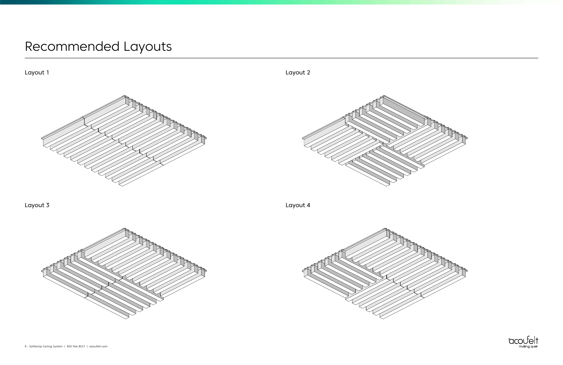







# Recommended Layouts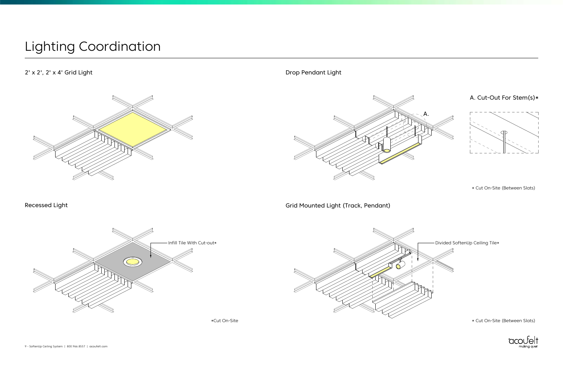### 2' x 2', 2' x 4' Grid Light



\*Cut On-Site

#### \* Cut On-Site (Between Slats)

Drop Pendant Light

Recessed Light



\* Cut On-Site (Between Slats)



## Lighting Coordination

Grid Mounted Light (Track, Pendant)

A. Cut-Out For Stem(s)\*